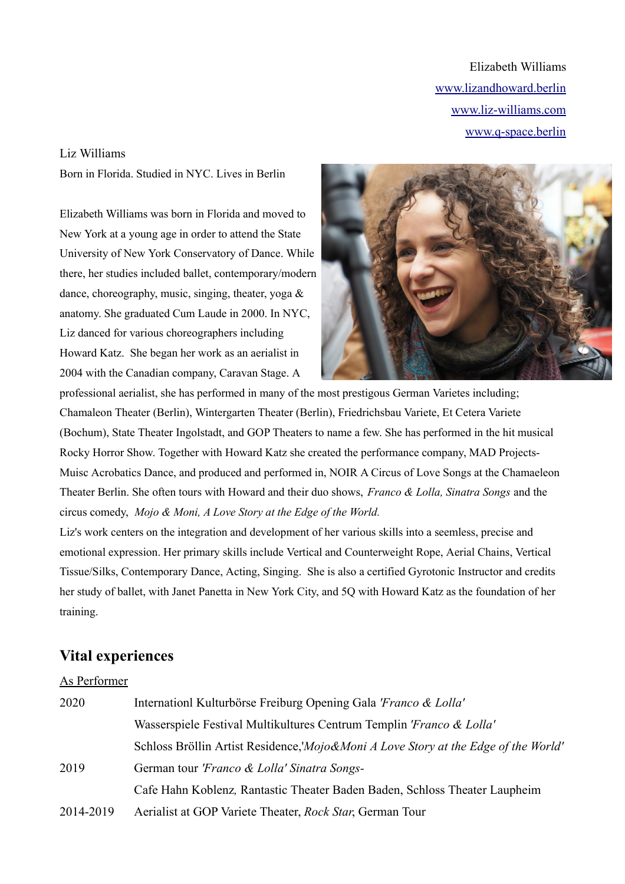Elizabeth Williams [www.lizandhoward.berlin](http://www.madprojects.berlin/) [www.liz-williams.com](http://www.liz-williams.com/) www.q-space.berlin

#### Liz Williams

Born in Florida. Studied in NYC. Lives in Berlin

Elizabeth Williams was born in Florida and moved to New York at a young age in order to attend the State University of New York Conservatory of Dance. While there, her studies included ballet, contemporary/modern dance, choreography, music, singing, theater, yoga & anatomy. She graduated Cum Laude in 2000. In NYC, Liz danced for various choreographers including Howard Katz. She began her work as an aerialist in 2004 with the Canadian company, Caravan Stage. A



professional aerialist, she has performed in many of the most prestigous German Varietes including; Chamaleon Theater (Berlin), Wintergarten Theater (Berlin), Friedrichsbau Variete, Et Cetera Variete (Bochum), State Theater Ingolstadt, and GOP Theaters to name a few. She has performed in the hit musical Rocky Horror Show. Together with Howard Katz she created the performance company, MAD Projects-Muisc Acrobatics Dance, and produced and performed in, NOIR A Circus of Love Songs at the Chamaeleon Theater Berlin. She often tours with Howard and their duo shows, *Franco & Lolla, Sinatra Songs* and the circus comedy, *Mojo & Moni, A Love Story at the Edge of the World.*

Liz's work centers on the integration and development of her various skills into a seemless, precise and emotional expression. Her primary skills include Vertical and Counterweight Rope, Aerial Chains, Vertical Tissue/Silks, Contemporary Dance, Acting, Singing. She is also a certified Gyrotonic Instructor and credits her study of ballet, with Janet Panetta in New York City, and 5Q with Howard Katz as the foundation of her training.

## **Vital experiences**

### As Performer

| 2020      | Internation Kulturbörse Freiburg Opening Gala 'Franco & Lolla'                                |
|-----------|-----------------------------------------------------------------------------------------------|
|           | Wasserspiele Festival Multikultures Centrum Templin <i>'Franco &amp; Lolla'</i>               |
|           | Schloss Bröllin Artist Residence, <i>Mojo&amp;Moni A Love Story at the Edge of the World'</i> |
| 2019      | German tour <i>'Franco &amp; Lolla' Sinatra Songs</i> -                                       |
|           | Cafe Hahn Koblenz, Rantastic Theater Baden Baden, Schloss Theater Laupheim                    |
| 2014-2019 | Aerialist at GOP Variete Theater, Rock Star, German Tour                                      |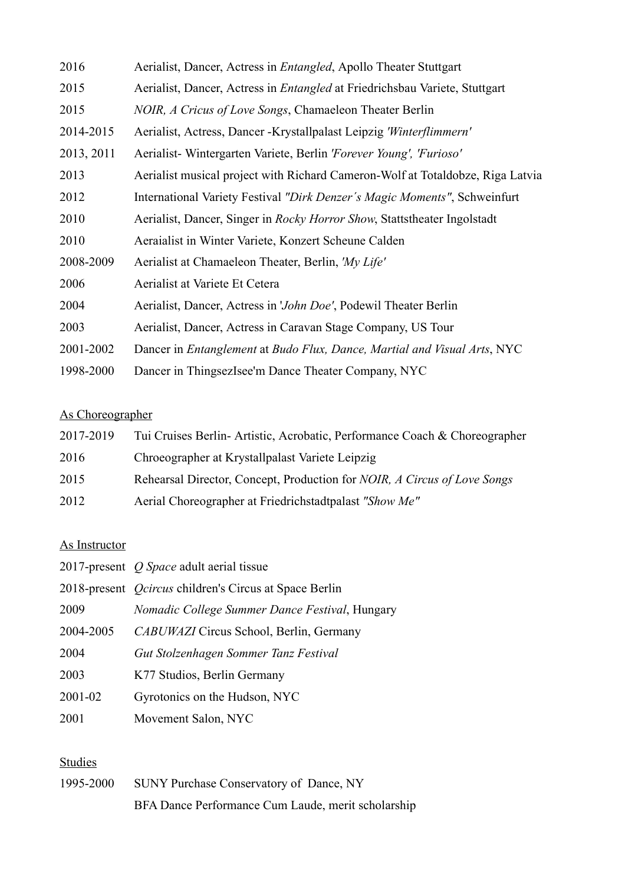| 2016       | Aerialist, Dancer, Actress in <i>Entangled</i> , Apollo Theater Stuttgart          |
|------------|------------------------------------------------------------------------------------|
| 2015       | Aerialist, Dancer, Actress in <i>Entangled</i> at Friedrichsbau Variete, Stuttgart |
| 2015       | NOIR, A Cricus of Love Songs, Chamaeleon Theater Berlin                            |
| 2014-2015  | Aerialist, Actress, Dancer - Krystallpalast Leipzig 'Winterflimmern'               |
| 2013, 2011 | Aerialist-Wintergarten Variete, Berlin 'Forever Young', 'Furioso'                  |
| 2013       | Aerialist musical project with Richard Cameron-Wolf at Totaldobze, Riga Latvia     |
| 2012       | International Variety Festival "Dirk Denzer's Magic Moments", Schweinfurt          |
| 2010       | Aerialist, Dancer, Singer in Rocky Horror Show, Stattstheater Ingolstadt           |
| 2010       | Aeraialist in Winter Variete, Konzert Scheune Calden                               |
| 2008-2009  | Aerialist at Chamaeleon Theater, Berlin, 'My Life'                                 |
| 2006       | Aerialist at Variete Et Cetera                                                     |
| 2004       | Aerialist, Dancer, Actress in 'John Doe', Podewil Theater Berlin                   |
| 2003       | Aerialist, Dancer, Actress in Caravan Stage Company, US Tour                       |
| 2001-2002  | Dancer in Entanglement at Budo Flux, Dance, Martial and Visual Arts, NYC           |
| 1998-2000  | Dancer in ThingsezIsee'm Dance Theater Company, NYC                                |

# As Choreographer

| 2017-2019 | Tui Cruises Berlin-Artistic, Acrobatic, Performance Coach & Choreographer               |
|-----------|-----------------------------------------------------------------------------------------|
| 2016      | Chroeographer at Krystallpalast Variete Leipzig                                         |
| 2015      | Rehearsal Director, Concept, Production for <i>NOIR</i> , <i>A Circus of Love Songs</i> |
| 2012      | Aerial Choreographer at Friedrichstadtpalast "Show Me"                                  |

### As Instructor

|           | 2017-present <i>O Space</i> adult aerial tissue               |
|-----------|---------------------------------------------------------------|
|           | 2018-present <i>Ocircus</i> children's Circus at Space Berlin |
| 2009      | Nomadic College Summer Dance Festival, Hungary                |
| 2004-2005 | CABUWAZI Circus School, Berlin, Germany                       |
| 2004      | Gut Stolzenhagen Sommer Tanz Festival                         |
| 2003      | K77 Studios, Berlin Germany                                   |
| 2001-02   | Gyrotonics on the Hudson, NYC                                 |
| 2001      | Movement Salon, NYC                                           |

# Studies

| 1995-2000 | SUNY Purchase Conservatory of Dance, NY            |
|-----------|----------------------------------------------------|
|           | BFA Dance Performance Cum Laude, merit scholarship |